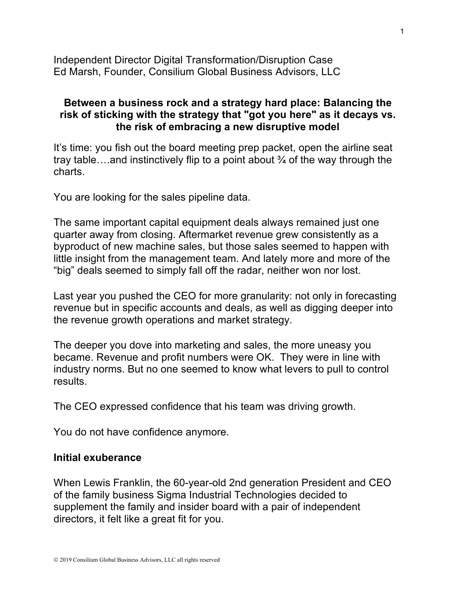Independent Director Digital Transformation/Disruption Case Ed Marsh, Founder, Consilium Global Business Advisors, LLC

## **Between a business rock and a strategy hard place: Balancing the risk of sticking with the strategy that "got you here" as it decays vs. the risk of embracing a new disruptive model**

It's time: you fish out the board meeting prep packet, open the airline seat tray table….and instinctively flip to a point about ¾ of the way through the charts.

You are looking for the sales pipeline data.

The same important capital equipment deals always remained just one quarter away from closing. Aftermarket revenue grew consistently as a byproduct of new machine sales, but those sales seemed to happen with little insight from the management team. And lately more and more of the "big" deals seemed to simply fall off the radar, neither won nor lost.

Last year you pushed the CEO for more granularity: not only in forecasting revenue but in specific accounts and deals, as well as digging deeper into the revenue growth operations and market strategy.

The deeper you dove into marketing and sales, the more uneasy you became. Revenue and profit numbers were OK. They were in line with industry norms. But no one seemed to know what levers to pull to control results.

The CEO expressed confidence that his team was driving growth.

You do not have confidence anymore.

## **Initial exuberance**

When Lewis Franklin, the 60-year-old 2nd generation President and CEO of the family business Sigma Industrial Technologies decided to supplement the family and insider board with a pair of independent directors, it felt like a great fit for you.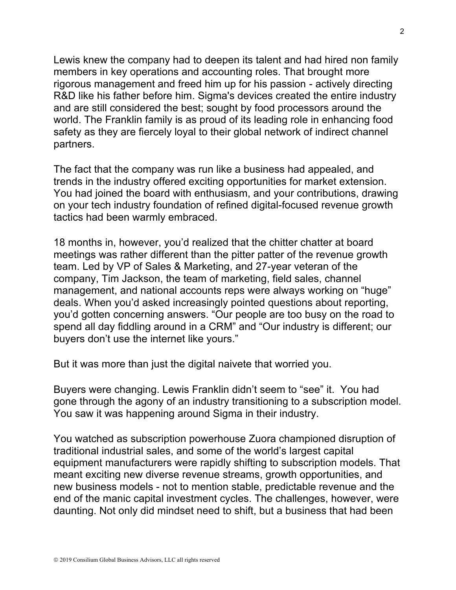Lewis knew the company had to deepen its talent and had hired non family members in key operations and accounting roles. That brought more rigorous management and freed him up for his passion - actively directing R&D like his father before him. Sigma's devices created the entire industry and are still considered the best; sought by food processors around the world. The Franklin family is as proud of its leading role in enhancing food safety as they are fiercely loyal to their global network of indirect channel partners.

The fact that the company was run like a business had appealed, and trends in the industry offered exciting opportunities for market extension. You had joined the board with enthusiasm, and your contributions, drawing on your tech industry foundation of refined digital-focused revenue growth tactics had been warmly embraced.

18 months in, however, you'd realized that the chitter chatter at board meetings was rather different than the pitter patter of the revenue growth team. Led by VP of Sales & Marketing, and 27-year veteran of the company, Tim Jackson, the team of marketing, field sales, channel management, and national accounts reps were always working on "huge" deals. When you'd asked increasingly pointed questions about reporting, you'd gotten concerning answers. "Our people are too busy on the road to spend all day fiddling around in a CRM" and "Our industry is different; our buyers don't use the internet like yours."

But it was more than just the digital naivete that worried you.

Buyers were changing. Lewis Franklin didn't seem to "see" it. You had gone through the agony of an industry transitioning to a subscription model. You saw it was happening around Sigma in their industry.

You watched as subscription powerhouse Zuora championed disruption of traditional industrial sales, and some of the world's largest capital equipment manufacturers were rapidly shifting to subscription models. That meant exciting new diverse revenue streams, growth opportunities, and new business models - not to mention stable, predictable revenue and the end of the manic capital investment cycles. The challenges, however, were daunting. Not only did mindset need to shift, but a business that had been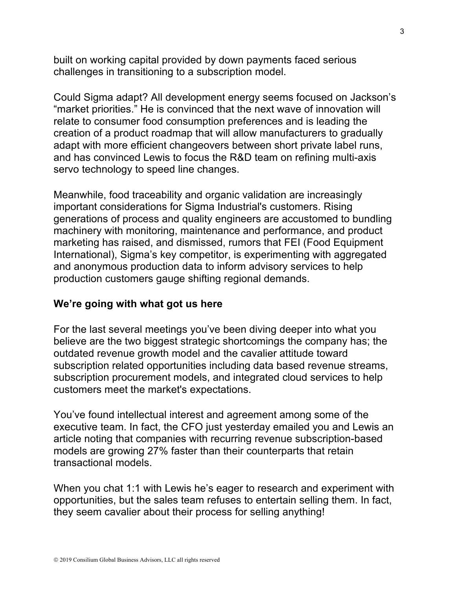built on working capital provided by down payments faced serious challenges in transitioning to a subscription model.

Could Sigma adapt? All development energy seems focused on Jackson's "market priorities." He is convinced that the next wave of innovation will relate to consumer food consumption preferences and is leading the creation of a product roadmap that will allow manufacturers to gradually adapt with more efficient changeovers between short private label runs, and has convinced Lewis to focus the R&D team on refining multi-axis servo technology to speed line changes.

Meanwhile, food traceability and organic validation are increasingly important considerations for Sigma Industrial's customers. Rising generations of process and quality engineers are accustomed to bundling machinery with monitoring, maintenance and performance, and product marketing has raised, and dismissed, rumors that FEI (Food Equipment International), Sigma's key competitor, is experimenting with aggregated and anonymous production data to inform advisory services to help production customers gauge shifting regional demands.

## **We're going with what got us here**

For the last several meetings you've been diving deeper into what you believe are the two biggest strategic shortcomings the company has; the outdated revenue growth model and the cavalier attitude toward subscription related opportunities including data based revenue streams, subscription procurement models, and integrated cloud services to help customers meet the market's expectations.

You've found intellectual interest and agreement among some of the executive team. In fact, the CFO just yesterday emailed you and Lewis an article noting that companies with recurring revenue subscription-based models are growing 27% faster than their counterparts that retain transactional models.

When you chat 1:1 with Lewis he's eager to research and experiment with opportunities, but the sales team refuses to entertain selling them. In fact, they seem cavalier about their process for selling anything!